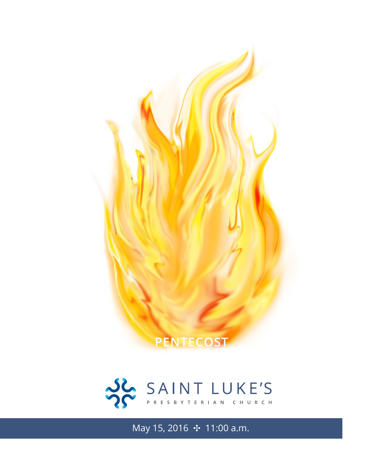



May 15, 2016 ✣ 11:00 a.m.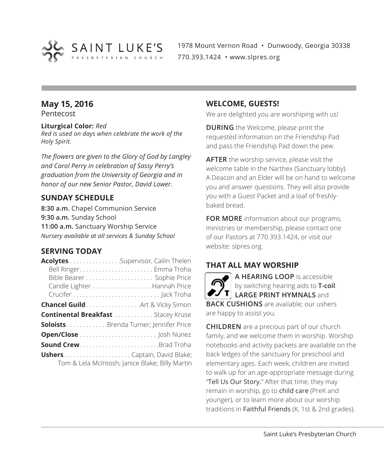

1978 Mount Vernon Road • Dunwoody, Georgia 30338 770.393.1424 • www.slpres.org

# **May 15, 2016**

Pentecost

#### **Liturgical Color:** *Red*

*Red is used on days when celebrate the work of the Holy Spirit.*

*The flowers are given to the Glory of God by Langley and Carol Perry in celebration of Sassy Perry's graduation from the University of Georgia and in honor of our new Senior Pastor, David Lower.*

#### **SUNDAY SCHEDULE**

**8:30 a.m.** Chapel Communion Service **9:30 a.m.** Sunday School **11:00 a.m.** Sanctuary Worship Service *Nursery available at all services & Sunday School*

#### **SERVING TODAY**

| Acolytes Supervisor, Cailin Thelen         |                                                 |
|--------------------------------------------|-------------------------------------------------|
|                                            |                                                 |
|                                            |                                                 |
|                                            |                                                 |
|                                            |                                                 |
| <b>Chancel Guild Art &amp; Vicky Simon</b> |                                                 |
| <b>Continental Breakfast </b> Stacey Kruse |                                                 |
| SoloistsBrenda Turner; Jennifer Price      |                                                 |
|                                            |                                                 |
|                                            |                                                 |
|                                            |                                                 |
|                                            | Tom & Lela McIntosh; Janice Blake; Billy Martin |

#### **WELCOME, GUESTS!**

We are delighted you are worshiping with us!

**DURING** the Welcome, please print the requested information on the Friendship Pad and pass the Friendship Pad down the pew.

**AFTER** the worship service, please visit the welcome table in the Narthex (Sanctuary lobby). A Deacon and an Elder will be on hand to welcome you and answer questions. They will also provide you with a Guest Packet and a loaf of freshlybaked bread.

**FOR MORE** information about our programs, ministries or membership, please contact one of our Pastors at 770.393.1424, or visit our website: slpres.org.

### **THAT ALL MAY WORSHIP**

**A HEARING LOOP** is accessible by switching hearing aids to **T-coil**. **LARGE PRINT HYMNALS** and **BACK CUSHIONS** are available; our ushers are happy to assist you.

**CHILDREN** are a precious part of our church family, and we welcome them in worship. Worship notebooks and activity packets are available on the back ledges of the sanctuary for preschool and elementary ages. Each week, children are invited to walk up for an age-appropriate message during "Tell Us Our Story." After that time, they may remain in worship, go to child care (PreK and younger), or to learn more about our worship traditions in Faithful Friends (K, 1st & 2nd grades).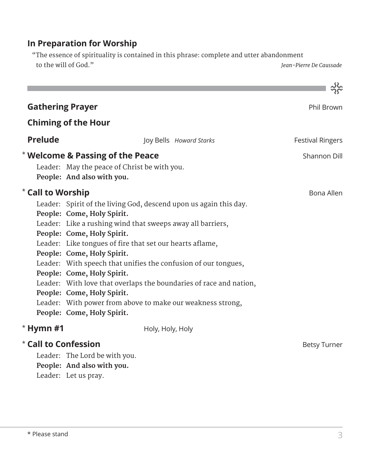# **In Preparation for Worship**

 "The essence of spirituality is contained in this phrase: complete and utter abandonment to the will of God." *Jean-Pierre De Caussade*

| <b>Gathering Prayer</b>             |                                                                                                                                                                                                                                                                                                                                                                                                                                                                                                                                                                                       | Phil Brown              |
|-------------------------------------|---------------------------------------------------------------------------------------------------------------------------------------------------------------------------------------------------------------------------------------------------------------------------------------------------------------------------------------------------------------------------------------------------------------------------------------------------------------------------------------------------------------------------------------------------------------------------------------|-------------------------|
|                                     | <b>Chiming of the Hour</b>                                                                                                                                                                                                                                                                                                                                                                                                                                                                                                                                                            |                         |
| <b>Prelude</b>                      | Joy Bells Howard Starks                                                                                                                                                                                                                                                                                                                                                                                                                                                                                                                                                               | <b>Festival Ringers</b> |
|                                     | * Welcome & Passing of the Peace<br>Leader: May the peace of Christ be with you.<br>People: And also with you.                                                                                                                                                                                                                                                                                                                                                                                                                                                                        | Shannon Dill            |
| * Call to Worship                   | Leader: Spirit of the living God, descend upon us again this day.<br>People: Come, Holy Spirit.<br>Leader: Like a rushing wind that sweeps away all barriers,<br>People: Come, Holy Spirit.<br>Leader: Like tongues of fire that set our hearts aflame,<br>People: Come, Holy Spirit.<br>Leader: With speech that unifies the confusion of our tongues,<br>People: Come, Holy Spirit.<br>Leader: With love that overlaps the boundaries of race and nation,<br>People: Come, Holy Spirit.<br>Leader: With power from above to make our weakness strong,<br>People: Come, Holy Spirit. | Bona Allen              |
| $*$ Hymn #1<br>* Call to Confession | Holy, Holy, Holy<br>Leader: The Lord be with you.<br>People: And also with you.<br>Leader: Let us pray.                                                                                                                                                                                                                                                                                                                                                                                                                                                                               | <b>Betsy Turner</b>     |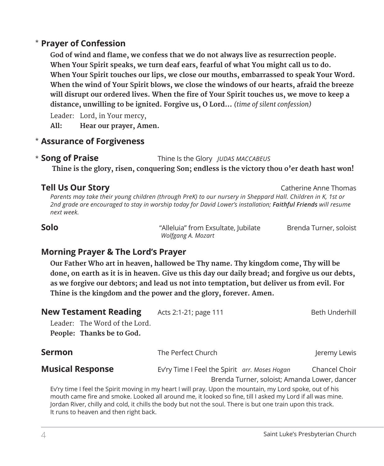## **Prayer of Confession**  \*

**God of wind and flame, we confess that we do not always live as resurrection people. When Your Spirit speaks, we turn deaf ears, fearful of what You might call us to do. When Your Spirit touches our lips, we close our mouths, embarrassed to speak Your Word. When the wind of Your Spirit blows, we close the windows of our hearts, afraid the breeze will disrupt our ordered lives. When the fire of Your Spirit touches us, we move to keep a distance, unwilling to be ignited. Forgive us, O Lord…** *(time of silent confession)*

Leader: Lord, in Your mercy,

**All: Hear our prayer, Amen.**

### **Assurance of Forgiveness** \*

**Song of Praise** Thine Is the Glory *JUDAS MACCABEUS* \* Song of Praise

**Thine is the glory, risen, conquering Son; endless is the victory thou o'er death hast won!**

#### **Tell Us Our Story Catherine Anne Thomas**

*Parents may take their young children (through PreK) to our nursery in Sheppard Hall. Children in K, 1st or 2nd grade are encouraged to stay in worship today for David Lower's installation; Faithful Friends will resume next week.*

**Solo** "Alleluia" from Exsultate, Jubilate Brenda Turner, soloist *Wolfgang A. Mozart*

### **Morning Prayer & The Lord's Prayer**

**Our Father Who art in heaven, hallowed be Thy name. Thy kingdom come, Thy will be** done, on earth as it is in heaven. Give us this day our daily bread; and forgive us our debts. **as we forgive our debtors; and lead us not into temptation, but deliver us from evil. For Thine is the kingdom and the power and the glory, forever. Amen.**

| <b>New Testament Reading</b>                                                                                                                                                                                                                                                                                                                                                    | Acts 2:1-21; page 111                         | Beth Underhill |
|---------------------------------------------------------------------------------------------------------------------------------------------------------------------------------------------------------------------------------------------------------------------------------------------------------------------------------------------------------------------------------|-----------------------------------------------|----------------|
| Leader: The Word of the Lord.                                                                                                                                                                                                                                                                                                                                                   |                                               |                |
| People: Thanks be to God.                                                                                                                                                                                                                                                                                                                                                       |                                               |                |
| <b>Sermon</b>                                                                                                                                                                                                                                                                                                                                                                   | The Perfect Church                            | Jeremy Lewis   |
| <b>Musical Response</b>                                                                                                                                                                                                                                                                                                                                                         | Ev'ry Time I Feel the Spirit arr. Moses Hogan | Chancel Choir  |
|                                                                                                                                                                                                                                                                                                                                                                                 | Brenda Turner, soloist; Amanda Lower, dancer  |                |
| Ev'ry time I feel the Spirit moving in my heart I will pray. Upon the mountain, my Lord spoke, out of his<br>mouth came fire and smoke. Looked all around me, it looked so fine, till I asked my Lord if all was mine.<br>Jordan River, chilly and cold, it chills the body but not the soul. There is but one train upon this track.<br>It runs to heaven and then right back. |                                               |                |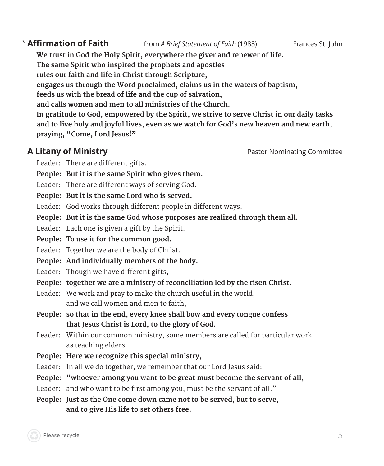\* **Affirmation of Faith** from *A Brief Statement of Faith* (1983) Frances St. John

**We trust in God the Holy Spirit, everywhere the giver and renewer of life. The same Spirit who inspired the prophets and apostles rules our faith and life in Christ through Scripture, engages us through the Word proclaimed, claims us in the waters of baptism, feeds us with the bread of life and the cup of salvation, and calls women and men to all ministries of the Church. In gratitude to God, empowered by the Spirit, we strive to serve Christ in our daily tasks and to live holy and joyful lives, even as we watch for God's new heaven and new earth, praying, "Come, Lord Jesus!"**

### **A Litany of Ministry Pastor Nominating Committee Pastor Nominating Committee**

- Leader: There are different gifts.
- **People: But it is the same Spirit who gives them.**
- Leader: There are different ways of serving God.
- **People: But it is the same Lord who is served.**
- Leader: God works through different people in different ways.
- **People: But it is the same God whose purposes are realized through them all.**
- Leader: Each one is given a gift by the Spirit.
- **People: To use it for the common good.**
- Leader: Together we are the body of Christ.
- **People: And individually members of the body.**
- Leader: Though we have different gifts,
- **People: together we are a ministry of reconciliation led by the risen Christ.**
- Leader: We work and pray to make the church useful in the world, and we call women and men to faith,
- **People: so that in the end, every knee shall bow and every tongue confess that Jesus Christ is Lord, to the glory of God.**
- Leader: Within our common ministry, some members are called for particular work as teaching elders.
- **People: Here we recognize this special ministry,**
- Leader: In all we do together, we remember that our Lord Jesus said:
- **People: "whoever among you want to be great must become the servant of all,**
- Leader: and who want to be first among you, must be the servant of all."
- **People: Just as the One come down came not to be served, but to serve, and to give His life to set others free.**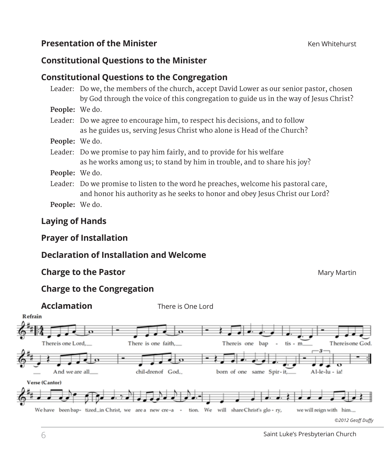## **Presentation of the Minister Example 20 At 20 At 20 At 20 At 20 At 20 At 20 At 20 At 20 At 20 At 20 At 20 At 20 At 20 At 20 At 20 At 20 At 20 At 20 At 20 At 20 At 20 At 20 At 20 At 20 At 20 At 20 At 20 At 20 At 20 At 2**

### **Constitutional Questions to the Minister**

# **Constitutional Questions to the Congregation**

|                       | Leader: Do we, the members of the church, accept David Lower as our senior pastor, chosen<br>by God through the voice of this congregation to guide us in the way of Jesus Christ? |
|-----------------------|------------------------------------------------------------------------------------------------------------------------------------------------------------------------------------|
| <b>People:</b> We do. |                                                                                                                                                                                    |
|                       | Leader: Do we agree to encourage him, to respect his decisions, and to follow<br>as he guides us, serving Jesus Christ who alone is Head of the Church?                            |
| <b>People:</b> We do. |                                                                                                                                                                                    |
|                       | Leader: Do we promise to pay him fairly, and to provide for his welfare<br>as he works among us; to stand by him in trouble, and to share his joy?                                 |
| <b>People:</b> We do. |                                                                                                                                                                                    |
|                       | Leader: Do we promise to listen to the word he preaches, welcome his pastoral care,<br>and honor his authority as he seeks to honor and obey Jesus Christ our Lord?                |
| <b>People:</b> We do. |                                                                                                                                                                                    |

## **Laying of Hands**

## **Prayer of Installation**

# **Declaration of Installation and Welcome**

### **Charge to the Pastor** Martin **Charge to the Pastor** Martin **Charge Transformation**

# **Charge to the Congregation**

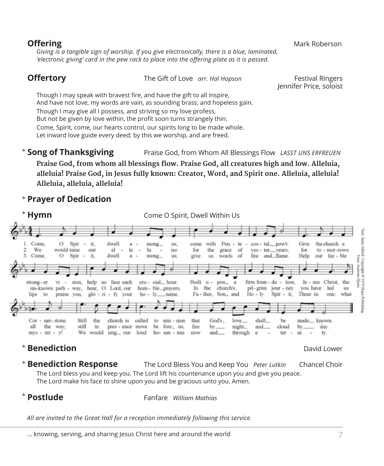**Offering** Mark Roberson **Mark Roberson** Mark Roberson **Mark Roberson** *Giving is a tangible sign of worship. If you give electronically, there is a blue, laminated, 'electronic giving' card in the pew rack to place into the offering plate as it is passed.* 

| <b>Offertory</b>                                                  | The Gift of Love arr. Hal Hopson                                                                                                                       | <b>Festival Ringers</b><br>Jennifer Price, soloist |
|-------------------------------------------------------------------|--------------------------------------------------------------------------------------------------------------------------------------------------------|----------------------------------------------------|
|                                                                   | Though I may speak with bravest fire, and have the gift to all inspire,<br>And have not love, my words are vain, as sounding brass, and hopeless gain. |                                                    |
| Though I may give all I possess, and striving so my love profess, | But not be given by love within, the profit soon turns strangely thin.                                                                                 |                                                    |
|                                                                   | Come, Spirit, come, our hearts control, our spirits long to be made whole.                                                                             |                                                    |

Let inward love guide every deed; by this we worship, and are freed.

**Song of Thanksgiving** Praise God, from Whom All Blessings Flow *LASST UNS ERFREUEN* **Praise God, from whom all blessings flow. Praise God, all creatures high and low. Alleluia, alleluia! Praise God, in Jesus fully known: Creator, Word, and Spirit one. Alleluia, alleluia! Alleluia, alleluia, alleluia!** \*

# **Prayer of Dedication** \*



#### **Benediction** David Lower David Lower David Lower David Lower \*

Text: Janie Alford

Copyright C 1979

sdon;

**Benediction Response** The Lord Bless You and Keep You *Peter Lutkin* Chancel Choir The Lord bless you and keep you. The Lord lift his countenance upon you and give you peace. The Lord make his face to shine upon you and be gracious unto you. Amen. **\* Benediction Response** 

# \*

**Postlude** Fanfare *William Mathias*

*All are invited to the Great Hall for a reception immediately following this service.*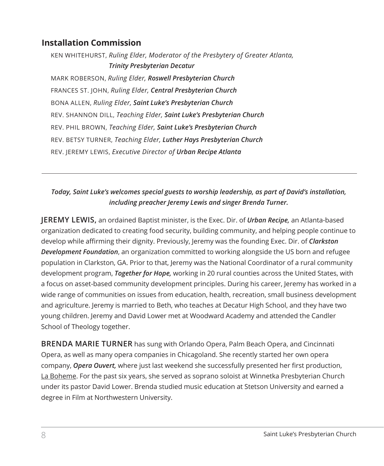# **Installation Commission**

KEN WHITEHURST, *Ruling Elder, Moderator of the Presbytery of Greater Atlanta, Trinity Presbyterian Decatur*  MARK ROBERSON, *Ruling Elder, Roswell Presbyterian Church*  FRANCES ST. JOHN, *Ruling Elder, Central Presbyterian Church*  BONA ALLEN, *Ruling Elder, Saint Luke's Presbyterian Church*  REV. SHANNON DILL, *Teaching Elder, Saint Luke's Presbyterian Church*  REV. PHIL BROWN, *Teaching Elder, Saint Luke's Presbyterian Church*  REV. BETSY TURNER, *Teaching Elder, Luther Hays Presbyterian Church*  REV. JEREMY LEWIS, *Executive Director of Urban Recipe Atlanta* 

#### *Today, Saint Luke's welcomes special guests to worship leadership, as part of David's installation, including preacher Jeremy Lewis and singer Brenda Turner.*

**JEREMY LEWIS,** an ordained Baptist minister, is the Exec. Dir. of *Urban Recipe,* an Atlanta-based organization dedicated to creating food security, building community, and helping people continue to develop while affirming their dignity. Previously, Jeremy was the founding Exec. Dir. of *Clarkston Development Foundation*, an organization committed to working alongside the US born and refugee population in Clarkston, GA. Prior to that, Jeremy was the National Coordinator of a rural community development program, *Together for Hope,* working in 20 rural counties across the United States, with a focus on asset-based community development principles. During his career, Jeremy has worked in a wide range of communities on issues from education, health, recreation, small business development and agriculture. Jeremy is married to Beth, who teaches at Decatur High School, and they have two young children. Jeremy and David Lower met at Woodward Academy and attended the Candler School of Theology together.

**BRENDA MARIE TURNER** has sung with Orlando Opera, Palm Beach Opera, and Cincinnati Opera, as well as many opera companies in Chicagoland. She recently started her own opera company, *Opera Ouvert,* where just last weekend she successfully presented her first production, La Boheme. For the past six years, she served as soprano soloist at Winnetka Presbyterian Church under its pastor David Lower. Brenda studied music education at Stetson University and earned a degree in Film at Northwestern University.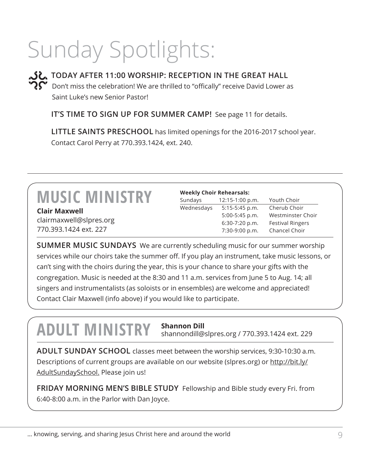# Sunday Spotlights:



**TODAY AFTER 11:00 WORSHIP: RECEPTION IN THE GREAT HALL** Don't miss the celebration! We are thrilled to "offically" receive David Lower as Saint Luke's new Senior Pastor!

**IT'S TIME TO SIGN UP FOR SUMMER CAMP!** See page 11 for details.

 **LITTLE SAINTS PRESCHOOL** has limited openings for the 2016-2017 school year. Contact Carol Perry at 770.393.1424, ext. 240.

**Clair Maxwell** clairmaxwell@slpres.org 770.393.1424 ext. 227

| <b>Weekly Choir Rehearsals:</b> |                   |                         |  |
|---------------------------------|-------------------|-------------------------|--|
| Sundays                         | $12:15-1:00 p.m.$ | Youth Choir             |  |
| Wednesdays                      | $5:15-5:45$ p.m.  | Cherub Choir            |  |
|                                 | 5:00-5:45 p.m.    | Westminster Choir       |  |
|                                 | 6:30-7:20 p.m.    | <b>Festival Ringers</b> |  |
|                                 | 7:30-9:00 p.m.    | Chancel Choir           |  |

**SUMMER MUSIC SUNDAYS** We are currently scheduling music for our summer worship services while our choirs take the summer off. If you play an instrument, take music lessons, or can't sing with the choirs during the year, this is your chance to share your gifts with the congregation. Music is needed at the 8:30 and 11 a.m. services from June 5 to Aug. 14; all singers and instrumentalists (as soloists or in ensembles) are welcome and appreciated! Contact Clair Maxwell (info above) if you would like to participate.

# **ADULT MINISTRY Shannon Dill**

shannondill@slpres.org / 770.393.1424 ext. 229

**ADULT SUNDAY SCHOOL** classes meet between the worship services, 9:30-10:30 a.m. Descriptions of current groups are available on our website (slpres.org) or http://bit.ly/ AdultSundaySchool. Please join us!

**FRIDAY MORNING MEN'S BIBLE STUDY** Fellowship and Bible study every Fri. from 6:40-8:00 a.m. in the Parlor with Dan Joyce.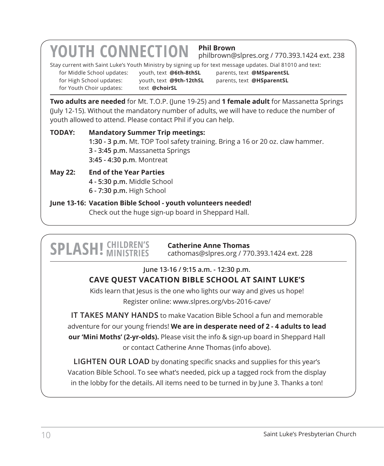# **YOUTH CONNECTION Phil Brown**

philbrown@slpres.org / 770.393.1424 ext. 238

Stay current with Saint Luke's Youth Ministry by signing up for text message updates. Dial 81010 and text:

for Youth Choir updates: text @choirSL

for Middle School updates: youth, text **@6th-8thSL** parents, text **@MSparentSL** for High School updates: youth, text **@9th-12thSL** parents, text **@HSparentSL**

**Two adults are needed** for Mt. T.O.P. (June 19-25) and **1 female adult** for Massanetta Springs (July 12-15). Without the mandatory number of adults, we will have to reduce the number of youth allowed to attend. Please contact Phil if you can help.

**TODAY: Mandatory Summer Trip meetings: 1:30 - 3 p.m.** Mt. TOP Tool safety training. Bring a 16 or 20 oz. claw hammer. **3 - 3:45 p.m.** Massanetta Springs **3:45 - 4:30 p.m**. Montreat

#### **May 22: End of the Year Parties 4 - 5:30 p.m.** Middle School **6 - 7:30 p.m.** High School

**June 13-16: Vacation Bible School - youth volunteers needed!**  Check out the huge sign-up board in Sheppard Hall.

# **SPLASH!** *CHILDREN'S*

**Catherine Anne Thomas** cathomas@slpres.org / 770.393.1424 ext. 228

# **June 13-16 / 9:15 a.m. - 12:30 p.m.**

# **CAVE QUEST VACATION BIBLE SCHOOL AT SAINT LUKE'S**

Kids learn that Jesus is the one who lights our way and gives us hope! Register online: www.slpres.org/vbs-2016-cave/

**IT TAKES MANY HANDS** to make Vacation Bible School a fun and memorable adventure for our young friends! **We are in desperate need of 2 - 4 adults to lead our 'Mini Moths' (2-yr-olds).** Please visit the info & sign-up board in Sheppard Hall or contact Catherine Anne Thomas (info above).

**LIGHTEN OUR LOAD** by donating specific snacks and supplies for this year's Vacation Bible School. To see what's needed, pick up a tagged rock from the display in the lobby for the details. All items need to be turned in by June 3. Thanks a ton!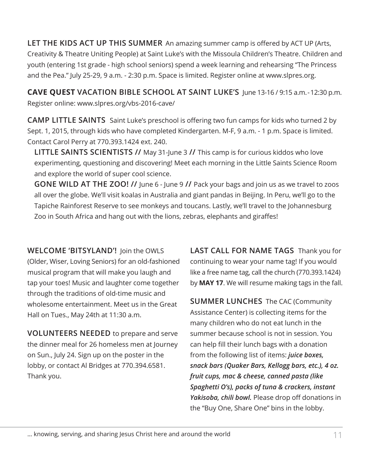**LET THE KIDS ACT UP THIS SUMMER** An amazing summer camp is offered by ACT UP (Arts, Creativity & Theatre Uniting People) at Saint Luke's with the Missoula Children's Theatre. Children and youth (entering 1st grade - high school seniors) spend a week learning and rehearsing "The Princess and the Pea." July 25-29, 9 a.m. - 2:30 p.m. Space is limited. Register online at www.slpres.org.

**CAVE QUEST VACATION BIBLE SCHOOL AT SAINT LUKE'S** June 13-16 / 9:15 a.m. - 12:30 p.m. Register online: www.slpres.org/vbs-2016-cave/

**CAMP LITTLE SAINTS** Saint Luke's preschool is offering two fun camps for kids who turned 2 by Sept. 1, 2015, through kids who have completed Kindergarten. M-F, 9 a.m. - 1 p.m. Space is limited. Contact Carol Perry at 770.393.1424 ext. 240.

**LITTLE SAINTS SCIENTISTS //** May 31-June 3 **//** This camp is for curious kiddos who love experimenting, questioning and discovering! Meet each morning in the Little Saints Science Room and explore the world of super cool science.

**GONE WILD AT THE ZOO! //** June 6 - June 9 **//** Pack your bags and join us as we travel to zoos all over the globe. We'll visit koalas in Australia and giant pandas in Beijing. In Peru, we'll go to the Tapiche Rainforest Reserve to see monkeys and toucans. Lastly, we'll travel to the Johannesburg Zoo in South Africa and hang out with the lions, zebras, elephants and giraffes!

**WELCOME 'BITSYLAND'!** Join the OWLS (Older, Wiser, Loving Seniors) for an old-fashioned musical program that will make you laugh and tap your toes! Music and laughter come together through the traditions of old-time music and wholesome entertainment. Meet us in the Great Hall on Tues., May 24th at 11:30 a.m.

**VOLUNTEERS NEEDED** to prepare and serve the dinner meal for 26 homeless men at Journey on Sun., July 24. Sign up on the poster in the lobby, or contact Al Bridges at 770.394.6581. Thank you.

**LAST CALL FOR NAME TAGS** Thank you for continuing to wear your name tag! If you would like a free name tag, call the church (770.393.1424) by **MAY 17**. We will resume making tags in the fall.

**SUMMER LUNCHES** The CAC (Community Assistance Center) is collecting items for the many children who do not eat lunch in the summer because school is not in session. You can help fill their lunch bags with a donation from the following list of items: *juice boxes, snack bars (Quaker Bars, Kellogg bars, etc.), 4 oz. fruit cups, mac & cheese, canned pasta (like Spaghetti O's), packs of tuna & crackers, instant Yakisoba, chili bowl.* Please drop off donations in the "Buy One, Share One" bins in the lobby.